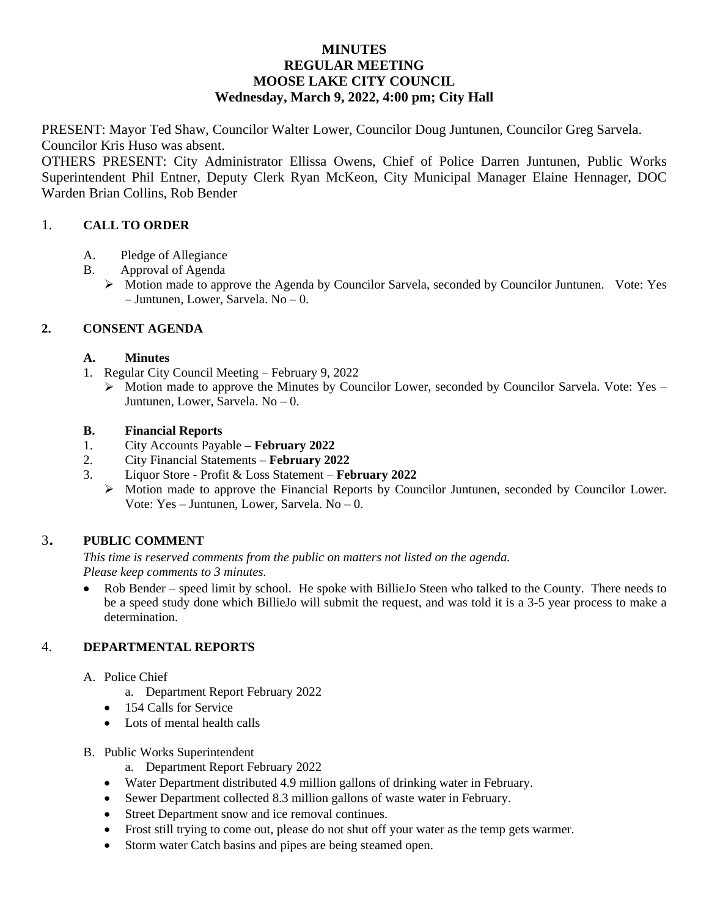## **MINUTES REGULAR MEETING MOOSE LAKE CITY COUNCIL Wednesday, March 9, 2022, 4:00 pm; City Hall**

PRESENT: Mayor Ted Shaw, Councilor Walter Lower, Councilor Doug Juntunen, Councilor Greg Sarvela. Councilor Kris Huso was absent.

OTHERS PRESENT: City Administrator Ellissa Owens, Chief of Police Darren Juntunen, Public Works Superintendent Phil Entner, Deputy Clerk Ryan McKeon, City Municipal Manager Elaine Hennager, DOC Warden Brian Collins, Rob Bender

## 1. **CALL TO ORDER**

- A. Pledge of Allegiance
- B. Approval of Agenda
	- $\triangleright$  Motion made to approve the Agenda by Councilor Sarvela, seconded by Councilor Juntunen. Vote: Yes – Juntunen, Lower, Sarvela. No – 0.

## **2. CONSENT AGENDA**

### **A. Minutes**

- 1. Regular City Council Meeting February 9, 2022
	- $\triangleright$  Motion made to approve the Minutes by Councilor Lower, seconded by Councilor Sarvela. Vote: Yes Juntunen, Lower, Sarvela. No – 0.

### **B. Financial Reports**

- 1. City Accounts Payable **– February 2022**
- 2. City Financial Statements **February 2022**
- 3. Liquor Store Profit & Loss Statement **February 2022**
	- Motion made to approve the Financial Reports by Councilor Juntunen, seconded by Councilor Lower. Vote: Yes – Juntunen, Lower, Sarvela. No – 0.

# <sup>3</sup>. **PUBLIC COMMENT**

*This time is reserved comments from the public on matters not listed on the agenda. Please keep comments to 3 minutes.*

• Rob Bender – speed limit by school. He spoke with BillieJo Steen who talked to the County. There needs to be a speed study done which BillieJo will submit the request, and was told it is a 3-5 year process to make a determination.

# 4. **DEPARTMENTAL REPORTS**

- A. Police Chief
	- a. Department Report February 2022
	- 154 Calls for Service
	- Lots of mental health calls
- B. Public Works Superintendent
	- a. Department Report February 2022
	- Water Department distributed 4.9 million gallons of drinking water in February.
	- Sewer Department collected 8.3 million gallons of waste water in February.
	- Street Department snow and ice removal continues.
	- Frost still trying to come out, please do not shut off your water as the temp gets warmer.
	- Storm water Catch basins and pipes are being steamed open.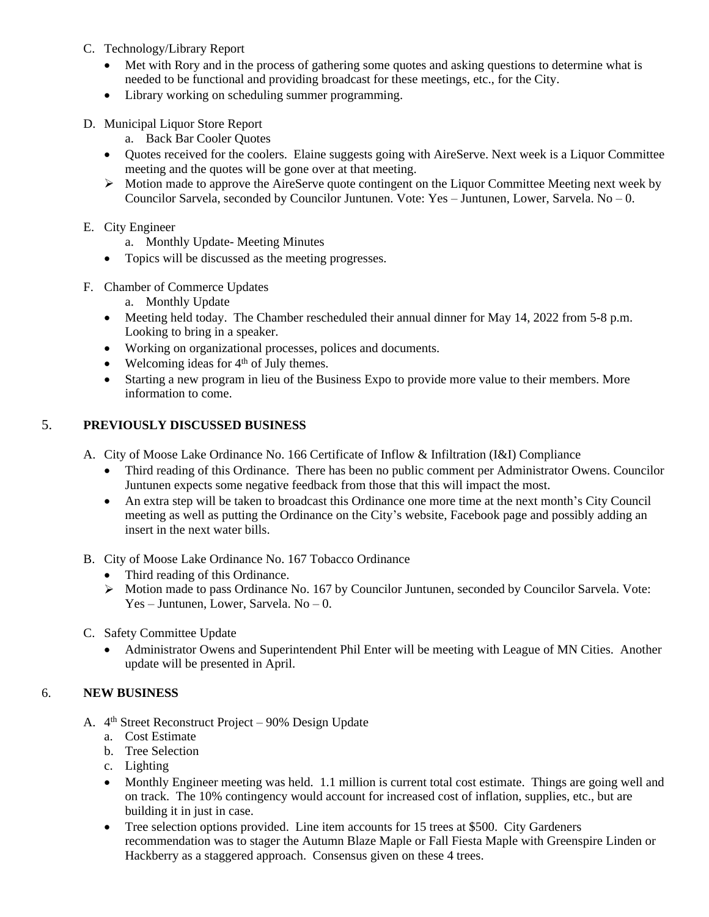- C. Technology/Library Report
	- Met with Rory and in the process of gathering some quotes and asking questions to determine what is needed to be functional and providing broadcast for these meetings, etc., for the City.
	- Library working on scheduling summer programming.
- D. Municipal Liquor Store Report
	- a. Back Bar Cooler Quotes
	- Ouotes received for the coolers. Elaine suggests going with AireServe. Next week is a Liquor Committee meeting and the quotes will be gone over at that meeting.
	- $\triangleright$  Motion made to approve the AireServe quote contingent on the Liquor Committee Meeting next week by Councilor Sarvela, seconded by Councilor Juntunen. Vote: Yes – Juntunen, Lower, Sarvela. No – 0.

### E. City Engineer

- a. Monthly Update- Meeting Minutes
- Topics will be discussed as the meeting progresses.
- F. Chamber of Commerce Updates
	- a. Monthly Update
	- Meeting held today. The Chamber rescheduled their annual dinner for May 14, 2022 from 5-8 p.m. Looking to bring in a speaker.
	- Working on organizational processes, polices and documents.
	- $\bullet$  Welcoming ideas for 4<sup>th</sup> of July themes.
	- Starting a new program in lieu of the Business Expo to provide more value to their members. More information to come.

### 5. **PREVIOUSLY DISCUSSED BUSINESS**

A. City of Moose Lake Ordinance No. 166 Certificate of Inflow & Infiltration (I&I) Compliance

- Third reading of this Ordinance. There has been no public comment per Administrator Owens. Councilor Juntunen expects some negative feedback from those that this will impact the most.
- An extra step will be taken to broadcast this Ordinance one more time at the next month's City Council meeting as well as putting the Ordinance on the City's website, Facebook page and possibly adding an insert in the next water bills.
- B. City of Moose Lake Ordinance No. 167 Tobacco Ordinance
	- Third reading of this Ordinance.
	- $\triangleright$  Motion made to pass Ordinance No. 167 by Councilor Juntunen, seconded by Councilor Sarvela. Vote: Yes – Juntunen, Lower, Sarvela. No – 0.
- C. Safety Committee Update
	- Administrator Owens and Superintendent Phil Enter will be meeting with League of MN Cities. Another update will be presented in April.

### 6. **NEW BUSINESS**

- A. 4<sup>th</sup> Street Reconstruct Project 90% Design Update
	- a. Cost Estimate
	- b. Tree Selection
	- c. Lighting
	- Monthly Engineer meeting was held. 1.1 million is current total cost estimate. Things are going well and on track. The 10% contingency would account for increased cost of inflation, supplies, etc., but are building it in just in case.
	- Tree selection options provided. Line item accounts for 15 trees at \$500. City Gardeners recommendation was to stager the Autumn Blaze Maple or Fall Fiesta Maple with Greenspire Linden or Hackberry as a staggered approach. Consensus given on these 4 trees.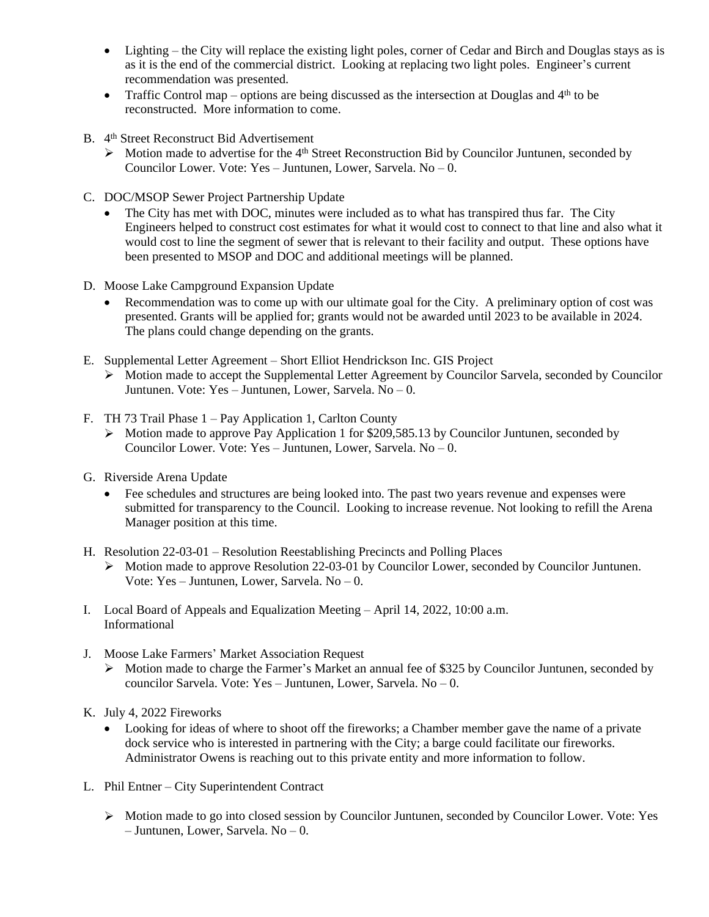- Lighting the City will replace the existing light poles, corner of Cedar and Birch and Douglas stays as is as it is the end of the commercial district. Looking at replacing two light poles. Engineer's current recommendation was presented.
- Traffic Control map options are being discussed as the intersection at Douglas and  $4<sup>th</sup>$  to be reconstructed. More information to come.
- B. 4 th Street Reconstruct Bid Advertisement
	- > Motion made to advertise for the 4<sup>th</sup> Street Reconstruction Bid by Councilor Juntunen, seconded by Councilor Lower. Vote: Yes – Juntunen, Lower, Sarvela,  $No - 0$ .
- C. DOC/MSOP Sewer Project Partnership Update
	- The City has met with DOC, minutes were included as to what has transpired thus far. The City Engineers helped to construct cost estimates for what it would cost to connect to that line and also what it would cost to line the segment of sewer that is relevant to their facility and output. These options have been presented to MSOP and DOC and additional meetings will be planned.
- D. Moose Lake Campground Expansion Update
	- Recommendation was to come up with our ultimate goal for the City. A preliminary option of cost was presented. Grants will be applied for; grants would not be awarded until 2023 to be available in 2024. The plans could change depending on the grants.
- E. Supplemental Letter Agreement Short Elliot Hendrickson Inc. GIS Project
	- $\triangleright$  Motion made to accept the Supplemental Letter Agreement by Councilor Sarvela, seconded by Councilor Juntunen. Vote: Yes – Juntunen, Lower, Sarvela. No – 0.
- F. TH 73 Trail Phase 1 Pay Application 1, Carlton County
	- Motion made to approve Pay Application 1 for \$209,585.13 by Councilor Juntunen, seconded by Councilor Lower. Vote: Yes – Juntunen, Lower, Sarvela. No – 0.
- G. Riverside Arena Update
	- Fee schedules and structures are being looked into. The past two years revenue and expenses were submitted for transparency to the Council. Looking to increase revenue. Not looking to refill the Arena Manager position at this time.
- H. Resolution 22-03-01 Resolution Reestablishing Precincts and Polling Places
	- Motion made to approve Resolution 22-03-01 by Councilor Lower, seconded by Councilor Juntunen. Vote: Yes – Juntunen, Lower, Sarvela. No – 0.
- I. Local Board of Appeals and Equalization Meeting April 14, 2022, 10:00 a.m. Informational
- J. Moose Lake Farmers' Market Association Request
	- Motion made to charge the Farmer's Market an annual fee of \$325 by Councilor Juntunen, seconded by councilor Sarvela. Vote: Yes – Juntunen, Lower, Sarvela. No – 0.
- K. July 4, 2022 Fireworks
	- Looking for ideas of where to shoot off the fireworks; a Chamber member gave the name of a private dock service who is interested in partnering with the City; a barge could facilitate our fireworks. Administrator Owens is reaching out to this private entity and more information to follow.
- L. Phil Entner City Superintendent Contract
	- Motion made to go into closed session by Councilor Juntunen, seconded by Councilor Lower. Vote: Yes – Juntunen, Lower, Sarvela. No – 0.